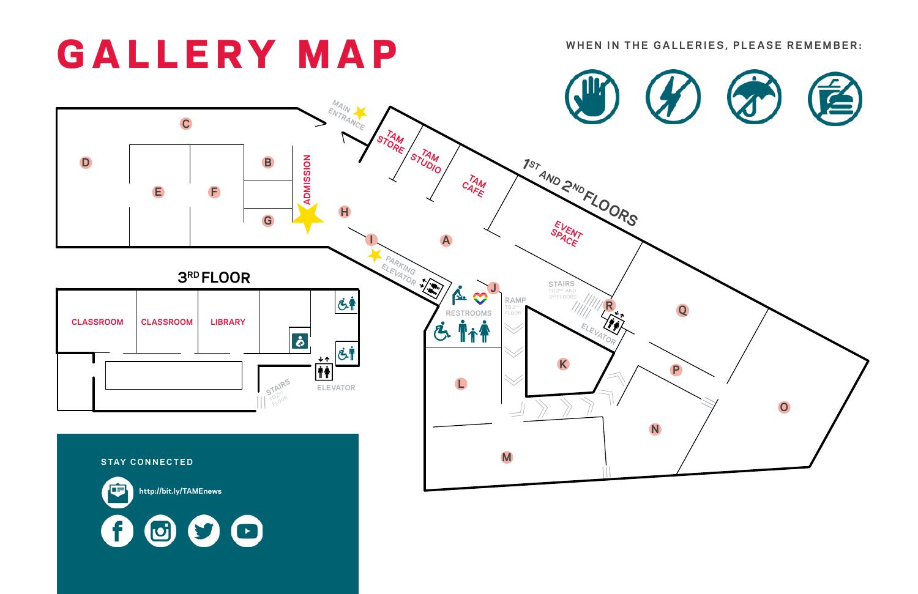

哼 **http://bit.ly/TAMEnews**  0  $O O$ **d**